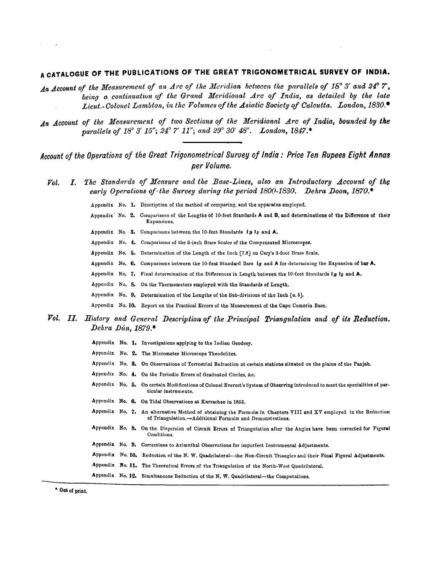## A CATALOGUE OF THE PUBLICATIONS OF THE GREAT TRIGONOMETRICAL SURVEY OF INDIA.

- An Account of the Measurement of an Arc of the Meridian between the parallels of 18° 3' and 24° 7', being a continuation of the Grand Meridional Arc of India, as detailed by the late Lieut. Colonel Lambton, in the Volumes of the Asiatic Society of Calcutta. London, 1830.
- An Account of the Measurement of two Sections of the Meridional Arc of India, bounded by the parallels of  $18^{\circ}$  3'  $15''$ ;  $24^{\circ}$  7'  $11''$ ; and  $29^{\circ}$  30'  $48''$ . London,  $1847.*$

Account of the Operations of the Great Trigonometrical Survey of India: Price Ten Rupees Eight Annas per Volume.

- The Standards of Measure and the Base-Lines, also an Introductory Account of the  $\mathcal{V}ol.$  $\bm{I}$ . early Operations of the Survey during the period 1800-1830. Dehra Doon, 1870.\*
	- Appendix No. 1. Description of the method of comparing, and the apparatus employed.
	- Appendix No. 2. Comparisons of the Lengths of 10-feet Standards A and B, and determinations of the Difference of their Expansions.
	- Appendix No. 3. Comparisons between the 10-feet Standards In Is and A.
	- Appendix No. 4. Comparisons of the 6-inch Brass Scales of the Compensated Microscopes.
	- Appendix No. 5. Determination of the Length of the Inch [7.8] on Cary's 3-foot Brass Scale.
	- Appendix No. 6. Comparisons between the 10-feet Standard Bars Ig and A for determining the Expansion of bar A.
	- Appendix No. 7. Final determination of the Differences in Length between the 10-feet Standards In Is and A.
	- Appendix No. 8. On the Thermometers employed with the Standards of Length.
	- Appendix No. 9. Determination of the Lengths of the Sub-divisions of the Inch [a. b].
	- Appendix No. 10. Report on the Practical Errors of the Measurement of the Cape Comorin Base.
- Vol. II. History and General Description of the Principal Triangulation and of its Reduction. Dehra Dún, 1879.\*
	- Appendix No. 1. Investigations applying to the Indian Geodesy.
	- Appendix No. 2. The Micrometer Microscope Theodolites.
	- Appendix No. 8. On Observations of Terrestrial Refraction at certain stations situated on the plains of the Panjab.
	- Appendix No. 4. On the Periodic Errors of Graduated Circles, &c.
	- Appendix No. 5. On certain Modifications of Colonel Everest's System of Observing introduced to meet the specialities of particular instruments.
	- Appendix No. 6. On Tidal Observations at Kurrachee in 1855.
	- Appendix No. 7. An alternative Method of obtaining the Formulæ in Chapters VIII and XV employed in the Reduction of Triangulation.-Additional Formulæ and Demonstrations.
	- Appendix No. 8. On the Dispersion of Circuit Errors of Triangulation after the Angles have been corrected for Figural Conditions
	- Appendix No. 9. Corrections to Azimuthal Observations for imperfect Instrumental Adjustments.
	- Appendix No. 10. Reduction of the N. W. Quadrilateral-the Non-Circuit Triangles and their Final Figural Adjustments.
	- Appendix No. 11. The Theoretical Errors of the Triangulation of the North-West Quadrilateral.
	- Appendix No. 12. Simultancous Reduction of the N. W. Quadrilateral-the Computations.

\* Out of print.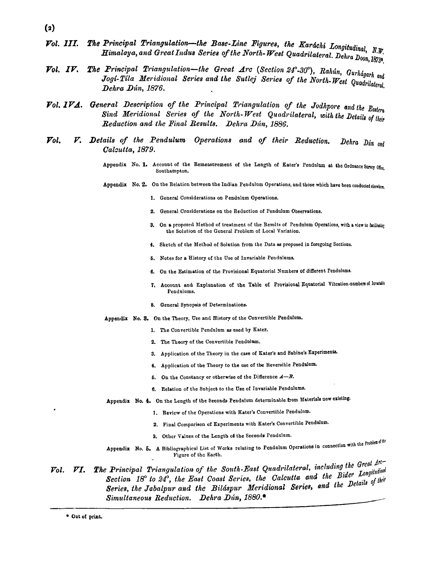- $(2)$
- The Principal Triangulation-the Base-Line Figures, the Karáchi Longitudinal, N.W. Vol. III. Himalaya, and Great Indus Series of the North-West Quadrilateral. Dehra Doon, 1873.
- The Principal Triangulation-the Great Arc (Section 24°-30°), Rahún, Gurhágarh and  $\mathbf{V}$ ol. IV. Jogi-Tila Meridional Series and the Sutlej Series of the North-West Quadrilateral. Dehra Dún, 1876.
- Vol. 1VA. General Description of the Principal Triangulation of the Jodhpore and the Eastern Sind Meridional Series of the North-West Quadrilateral, with the Details of their Reduction and the Final Results. Dehra Dún. 1886.
- V. Details of the Pendulum Operations and of their Reduction.  $\mathcal{V}ol.$ Dehra Dún and Calcutta, 1879.
	- Appendix No. 1. Account of the Remeasurement of the Length of Kater's Pendulum at the Ordnance Survey Office. Southampton.
	- Appendix No. 2. On the Relation between the Indian Pendulum Operations, and those which have been conducted election-
		- 1. General Considerations on Pendulum Operations.
		- 2. General Considerations on the Reduction of Pendulum Observations.
		- 3. On a proposed Method of treatment of the Results of Pendulum Operations, with a view to facilitating the Solution of the General Problem of Local Variation.
		- 4. Sketch of the Method of Solution from the Data as proposed in foregoing Sections.
		- 5. Notes for a History of the Use of Invariable Pendulums.
		- 6. On the Estimation of the Provisional Equatorial Numbers of different Pendulums.
		- 7. Account and Explanation of the Table of Provisional Equatorial Vibration-numbers of Invariable Pendulums.
		- 8. General Synopsis of Determinations.
	- Appendix No. 3. On the Theory, Use and History of the Convertible Pendulum.
		- 1. The Convertible Pendulum as used by Kater.
		- 2. The Theory of the Convertible Pendulum.
		- 3. Application of the Theory in the case of Kater's and Sabine's Experiments.
		- 4. Application of the Theory to the use of the Reversible Pendulum.
		- 5. On the Constancy or otherwise of the Difference  $A B$ .
		- 6. Relation of the Subject to the Use of Invariable Pendulums.
	- Appendix No. 4. On the Length of the Seconds Pendulum determinable from Materials now existing.
		- 1. Review of the Operations with Kater's Convertible Pendulum.
		- 2. Final Comparison of Experiments with Kater's Convertible Pendulum.
		- 3. Other Values of the Length of the Seconds Pendulum.
	- Appendix No. 5. A Bibliographical List of Works relating to Pendulum Operations in connection with the Problem of the Figure of the Earth.
- The Principal Triangulation of the South-East Quadrilateral, including the Great Arc- $\mathcal{V}ol.$   $\mathcal{V}I.$ Section 18° to 24°, the East Coast Series, the Calcutta and the Bider Longitudinal Series, the Jabalpur and the Biláspur Meridional Series, and the Details of their Simultaneous Reduction. Dehra Dún, 1880.\*

\* Out of print.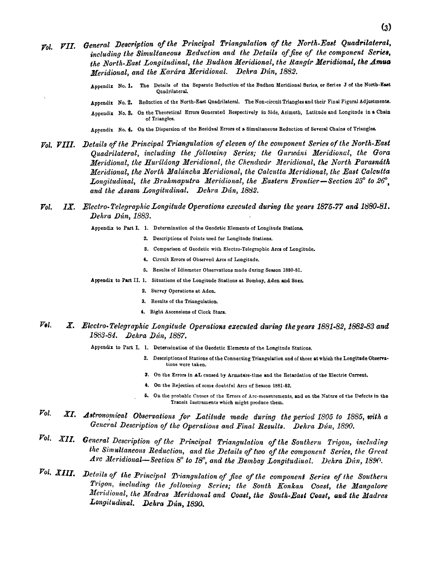Appendix No. 1. The Details of the Separate Reductiou of the Budhon Meridional Series, or Series J of the North-East Qundrilaternl.

Appendix No. 2. Reduction of the North-East Quadrilateral. The Non-circuit Triangles and their Final Figural Adjustments.

Appendix No. **3.** On the Theoretical Errors Qenernted Respectively in Side, Azimuth. Latitude end Longitude in a Chsin of Triangles.

Appendix No. 4. On the Dispersion of the Residual Errom of a Simdtaneoos Reduction of Several Chains of Triangles.

 $V$ <sub>0</sub>,  $V$ *III.* Details of the Principal Triangulation of eleven of the component Series of the North-East *Quadrilateral, including the followinp Series; the Gurwcini Meridional, the Gora Meridional, the Huvilkong Meridional, the Chendwdr Meridional, the North Paraandth Meridional, the North Maltincha Meridional, the Calcutta Meridimal, the East Calcutta*  Longitudinal, the Brahmaputra Meridional, the Eastern Frontier-Section 23° to 26°. and the Assam Longitudinal. Dehra Dún, 1882.

## *Pol. IX. Electro-Telegraphic Longitude Operations executed during the years 1875-77 and 1880-81. Dehra Utin,* 1883.

Appendix **to** Part I. 1. Determination **of** the Geodetic Elements of Longitude Statione.

- **2.** Descriptions of Points used for Longitude Stations.
- 3. Comparison of Geodetic with Electro-Telegraphic Arcs of Longitude.
- 4. Circuit Errors of Observed Arcs of Longitude.
- **6.** Reaults of Idiometer Observations made during Sereon **1880-81.**
- Appendix to Part II. 1. Situations of the Longitude Stations at Bombay, Aden and Suez.
	- **2.** Survey Operations at Aden
	- 3. Results of the Trinngulation.
	- 4. Right Ascensions of Clock Stare,
- *Pol. X. Electro-Telegraphic Longitude Operations executed during the years 1881-82, 1882-83 and* 1883-84. Dehra Dún, 1887.
	- Appendix to Part I. 1. Determination of the Geodetic Elements of the Longitude Stations.
		- 2. Descriptions of Stations of the Connecting Triangulation and of those at which the Longitude Observations mere taken.
		- **3.** On the Errore in AL caused by Armnture-time md the Retardation of the Electrie Current.
		- 4. On the Rejection of some doubtful Arcs of Season 1881-82.
		- **6.** On the probable Causes of the Errors of Arc.mensnrements, md on the Nntwe of the Defects in the Transit Instruments which might produce them.
- $\mathcal{V}ol$ . *XI- Admo,mical Obsevvations for Latilude made during the period I805 10* 1885, *with a*  General Description of the Operations and Final Results. Dehra Dún, 1890.
- $\emph{Vol. }$  *XII.* General Description of the Principal Triangulation of the Southern Trigon, including the Simultaneous Reduction, and the Details of two of the component Series, the Great *Arc Jleridio~lal-Section* 8" *to* **18')** *and the Bombay Longitudiual. Uehra Dlin,* 18W.
- *Vol. XIII.* Details of the Principal Triangulation of five of the component Series of the Southern  $Trigon,$  including the following Series; the South Konkan Coast, the Mangalore *Meridional, the Madras Meridional and Coast, the South-East Coast, and the Madras* Longitudinal. Dehra Dún, 1890.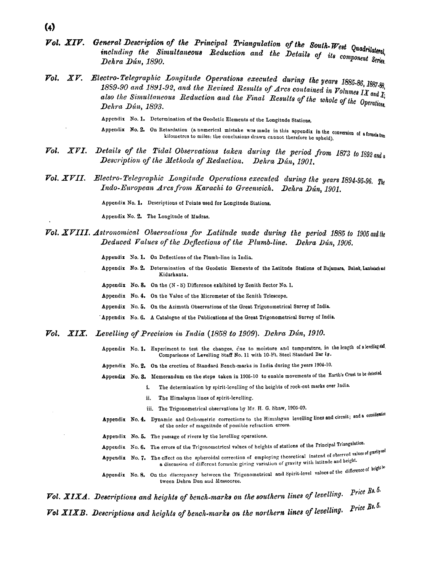- $\bf(4)$
- Vol. XIV. General Description of the Principal Triangulation of the South-West Quadrilateral. including the Simultaneous Reduction and the Details of its component Series. Dehra Dún, 1890.
- **Vol. XV.** Electro-Telegraphic Longitude Operations executed during the years  $1885-86$ ,  $1887-88$ . 1889-90 and 1891-92, and the Revised Results of Arcs contained in Volumes IX and  $\overline{X}_i$ also the Simultaneous Reduction and the Final Results of the whole of the Operations. Dehra Dún, 1893.
	- Appendix No. 1. Determination of the Geodetic Elements of the Longitude Stations.
	- Appendix No. 2. On Retardation (a numerical mistake was made in this appendix in the conversion of a formula from kilometres to miles: the conclusions drawn cannot therefore be upheld).
- Details of the Tidal Observations taken during the period from 1873 to 1892 and a  $Vol.$   $XVI.$ Description of the Methods of Reduction. Dehra Dún, 1901.
- **Vol. XVII.** Electro-Telegraphic Longitude Operations executed during the years 1894-95-96,  $T_{he}$ Indo-European Arcs from Karachi to Greenwich. Dehra Dún, 1901.

Appendix No. 1. Descriptions of Points used for Longitude Stations.

Appendix No. 2. The Longitude of Madras.

Vol. XVIII. Astronomical Observations for Latitude made during the period 1885 to 1905 and the Deduced Values of the Deflections of the Plumb-line. Dehra Dún, 1906.

Appendix No. 1. On Deflections of the Plumb-line in India.

- Appendix No. 2. Determination of the Geodetic Elements of the Latitude Stations of Bajamara, Bahak, Lambatch and Kidarkanta.
- Appendix No. 8. On the (N S) Difference exhibited by Zenith Sector No. 1.
- Appendix No. 4. On the Value of the Micrometer of the Zenith Telescope.
- Appendix No. 5. On the Azimuth Observations of the Great Trigonometrical Survey of India.
- 'Appendix No. 6. A Catalogue of the Publications of the Great Trigonometrical Survey of India.
- Vol. XIX. Levelling of Precision in India (1858 to 1909). Dehra Dún, 1910.
	- Appendix No. 1. Experiment to test the changes, due to moisture and temperature, in the length of a lerelling staf. Comparisons of Levelling Staff No. 11 with 10-Ft. Steel Standard Bar Is.
	- Appendix No. 2. On the erection of Standard Bench-marks in India during the years 1904-10.
	- Appendix No. 3. Memorandum on the steps taken in 1905-10 to enable movements of the Earth's Crust to be detected.
		- The determination by spirit-levelling of the heights of rock-cut marks over India. i.
			- ii. The Himalayan lines of spirit-levelling.
			- iii. The Trigonometrical observations by Mr. H. G. Shaw, 1905-09.
	- Appendix No. 4. Dynamic and Orthometric corrections to the Himalayan levelling lines and circuit; and a consideration of the order of magnitude of possible refraction errors.
	- Appendix No. 5. The passage of rivers by the levelling operations.

Appendix No. 6. The errors of the Trigonometrical values of heights of stations of the Principal Triangulation.

- Appendix No. 7. The effect on the spheroidal correction of employing theoretical instead of observed values of gravily and a discussion of different formulæ giving variation of gravity with latitude and height.
- Appendix No. 8. On the discrepancy between the Trigonometrical and Spirit-level values of the difference of heighter tween Dehra Dun and Mussocree.

**Vol. XIXA.** Descriptions and heights of bench-marks on the southern lines of levelling. Price Rs. 5. **Vol XIXB.** Descriptions and heights of bench-marks on the northern lines of levelling. Price  $\mathbb{R}^{8.5.}$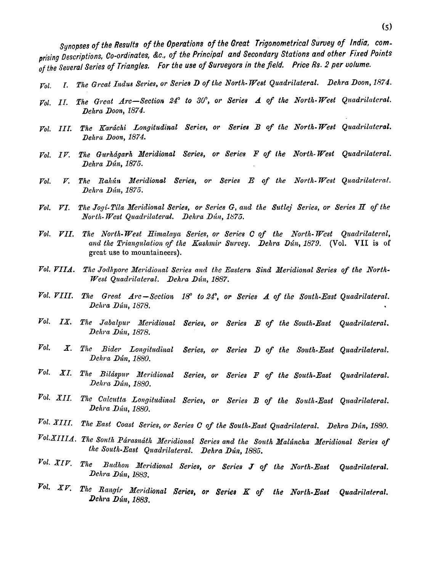Synopses of the Results of the Operations of the Great Trigonometrical Survey of India, com**prising Descriptions, Co-ordinates, Be., of the Principal and Secondary Stations and other Fixed Points**  *of* **the ,Seueral Series of Triangles. For the use** *of* **Surueyors in the field, Price Rs. 2 per uolume.** 

- *Pol.* **T.** *The Great Indus Series, or Series D of the North- West Quadrilateral. Dehra Doon, 1874.*
- $V_0$ . II. The Great Arc-Section 24° to 30°, or Series A of the North-West Quadrilateral. *Dehra Doon, 1874.*
- *Pot. III. The Kardchi Longitudinal Series, or Series B of the North- West Quadrilateral. Dehra Doon, 1874.*
- $Vol.$  IV. The Gurhágarh Meridional Series, or Series F of the North-West Quadrilateral. *Dehra Dún, 1875.*
- $Vol.$  *V. The Rahun Meridional Series, or Series E of the North-West Quadrilateral. Dehra Dún, 1875.*
- *Pol. PI. The Jogi-Tila Meritlional Series, or Series G, and the Sutlej Series, or Series H of the*   $North- West Quadrilateral.$  Dehra Dún, 1875.
- Vol. VII. The North-West Himalaya Series, or Series C of the North-West Quadrilateral, and the Triangulation of the Kashmir Survey. Dehra Dún, 1879. (Vol. VII is of *great* **use** *to mountaineers).*
- Vol. VIIA. The Jodhpore Meridional Series and the Eastern Sind Meridional Series of the North-*West Quadrilateral. Dehra Dún, 1887.*
- $\emph{Vol. }\emph{VIII.}$  The Great  $\emph{Arc}-Section$  18° to 24°, or Series  $\emph{A}$  of the South-East Quadrilateral. *Dehra Din, 1878.*
- $Val$ . IX. The Jabalpur Meridional Series, or Series E of the South-East Quadrilateral. *Dehra Ddn, 1878.*
- $Vol.$  *X. The Bider Longitudinal Series, or Series D of the South-East Quadrilateral. Dehl-a Ddn, 1880.*
- *Pol. XI. The Bilcispur dleridional Series, ors Series* **P** *of the South-East Quadrilateral. DeAm, Din, 1880.*
- $P$ ol. XII. The Calcutta Longitudinal Series, or Series B of the South-East Quadrilateral. *Dehra Dún, 1880.*
- *Pol. 3111. The &st Coast Sevies, or Series* **<sup>C</sup>***of the South-East Qzcadrilateral. Dehra Dzin, 1880.*
- $Vol.XIIIA$ . The South Párasnáth Meridional Series and the South Malúncha Meridional Series of *the South-East Quadrilateral. Dehra Dún, 1885.*
- $Vol.~XIP.$  The Budhon Meridional Series, or Series J of the North-East Quadrilateral. *Delcra Ddn, 1883.*
- $\emph{Vol. }$  *XV. The Rangir Meridional Series, or Series K of the North-East Quadrilateral. Dehra Dlin, 1883.*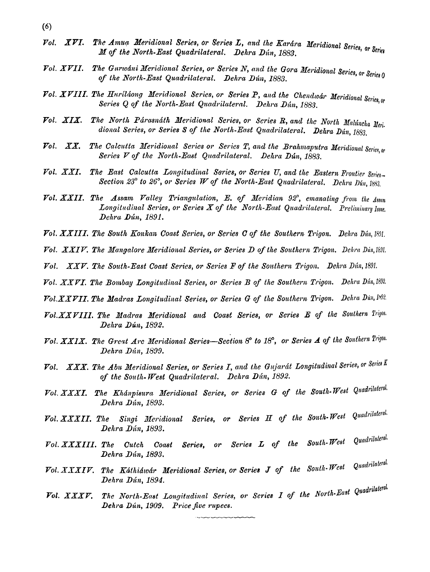- $(6)$
- Vol. XVI. The Amua Meridional Series, or Series L, and the Karára Meridional Series, or Series M of the North-East Quadrilateral. Dehra Dún, 1883.
- Vol. XVII. The Gurwani Meridional Series, or Series N, and the Gora Meridional Series, or Series 0 of the North-East Quadrilateral. Dehra Dún, 1883.
- Vol. XVIII. The Huriláong Meridional Series, or Series P, and the Chendwar Meridional Series, or Series Q of the North-East Quadrilateral. Dehra Dún, 1883.
- The North Párasnáth Meridional Series, or Series R, and the North Malúncha Meri. Fol.  $XIX.$ dional Series, or Series S of the North-East Quadrilateral. Dehra Dún, 1883.
- The Calcutta Meridional Series or Series T, and the Brahmaputra Meridional Series, or  $X\overline{X}$ .  $_{Pol.}$ Series V of the North-East Quadrilateral. Dehra Dún, 1883.
- The East Calcutta Longitudinal Series, or Series U, and the Eastern Frontier Series- $\emph{Vol. } XXI.$ Section 23° to 26°, or Series W of the North-East Quadrilateral. Dehra Dún, 1883.
- Vol. XXII. The Assam Valley Triangulation, E. of Meridian 92°, emanating from the Assam Longitudinal Series, or Series X of the North-East Quadrilateral. Preliminary Issue. Dehra Dún, 1891.
- Vol. XXIII. The South Konkan Coast Series, or Series C of the Southern Trigon. Dehra Dún, 1891.
- Vol. XXIV. The Mangalore Meridional Series, or Series D of the Southern Trigon. Dehra Dún, 1891.
- Vol. XXV. The South-East Coast Series, or Series F of the Southern Trigon. Dehra Dún, 1891.
- Vol. XXVI. The Bombay Longitudinal Series, or Series B of the Southern Trigon. Dehra Dún, 1892.

Vol. XXVII. The Madras Longitudinal Series, or Series G of the Southern Trigon. Dehra Dun, 1892.

- Vol. XXVIII. The Madras Meridional and Coast Series, or Series E of the Southern Trigon. Dehra Dún, 1892.
- Vol. XXIX. The Great Arc Meridional Series-Section 8° to 18°, or Series A of the Southern Trigon. Dehra Dún, 1899.
- XXX. The Abu Meridional Series, or Series I, and the Gujarát Longitudinal Series, or Series K  $\mathcal{V}ol.$ of the South-West Quadrilateral. Dehra  $D$ ún, 1892.
- Vol. XXXI. The Khánpisura Meridional Series, or Series G of the South-West Quadrilateral. Dehra Dún, 1893.
- Series, or Series H of the South-West Quadrilateral. Vol. XXXII. The Singi Meridional Dehra Dún, 1893.
- Quadrilateral.  $South-West$ Series L of the Vol. XXXIII. The Cutch Coast Series, or Dehra Dún, 1893.
- Vol. XXXIV. The Káthiáwár Meridional Series, or Series J of the South-West Quadrilaleral. Dehra Dún, 1894.
- The North-East Longitudinal Series, or Series I of the North-East Quadrilateral. Vol.  $\begin{array}{cc} XXXV. \end{array}$ Dehra Dún, 1909. Price five rupees.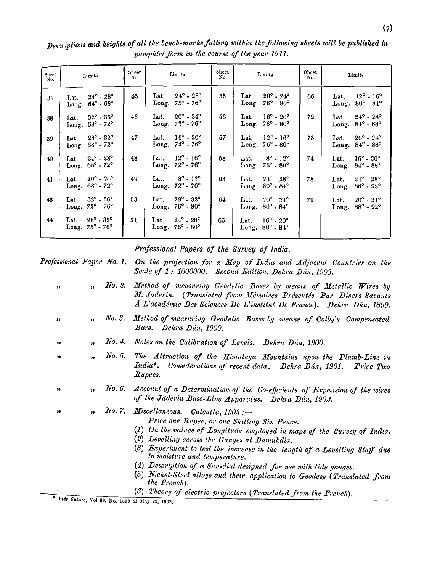| Sheet<br>No. | Limits                                                               | Sheet<br>No. | Limits                                                                   | Sheet<br>No. | Limits                                                               | <b>Sheet</b><br>No. | Limits                                                                    |
|--------------|----------------------------------------------------------------------|--------------|--------------------------------------------------------------------------|--------------|----------------------------------------------------------------------|---------------------|---------------------------------------------------------------------------|
| 35           | $24^{\circ}$ - $28^{\circ}$<br>Lat.<br>Long. $64^\circ$ - $68^\circ$ | 45           | $24^{\circ}$ - $28^{\circ}$<br>Lat.<br>Long. $72^{\circ}$ - $76^{\circ}$ | 55           | $20^{\circ}$ - $24^{\circ}$<br>Lat.<br>Long. $76^\circ$ - $80^\circ$ | 66                  | Lat. $12^{\circ} - 16^{\circ}$<br>Long. 80° - 84°                         |
| 38           | Lat. $32^{\circ}$ - $36^{\circ}$<br>Long. 68° - 72°                  | 46           | $20^{\circ} - 24^{\circ}$<br>Lat.<br>Long. $72^{\circ}$ - $76^{\circ}$   | 56           | Lat. $16^{\circ} - 20^{\circ}$<br>Long. 76° - 80°                    | 72                  | Lat. $24^{\circ}$ - $28^{\circ}$<br>Long. 84° - 88°                       |
| 39           | $28^{\circ}$ - $32^{\circ}$<br>Lat.<br>Long. 68° - 72°               | 47           | $16^{\circ}$ - $20^{\circ}$<br>Lat.<br>Long. 72° - 76°                   | 57           | Lai. $12^{\circ} - 16^{\circ}$<br>Long. 76° - 80°                    | 73                  | Lat. $20^{\circ} - 24^{\circ}$<br>Long. 84° - 88°                         |
| 40           | $24^{\circ}$ - $28^{\circ}$<br>Lat.<br>Long. 68° - 72°               | 48           | $12^{\circ}$ - $16^{\circ}$<br>Lat.<br>Long. 72° - 76°                   | 58           | Lat. $8^{\circ}$ - $12^{\circ}$<br>Long. $76^{\circ}$ - $80^{\circ}$ | 74                  | $16^{\circ}$ - $20^{\circ}$<br>Lat.<br>Long. 84° - 88'                    |
| 41           | Lat. $20^{\circ}$ - $24^{\circ}$<br>Long. 68° - 72°                  | 49           | $8^{\circ}$ - 12 <sup>o</sup><br>Lat. .<br>Long. 72° - 76°               | 63           | Lat. $24^{\circ}$ - $28^{\circ}$<br>Long. 80° - 84°                  | 78                  | $24^{\circ}$ - $28^{\circ}$<br>Lat.<br>$88^{\circ} - 92^{\circ}$<br>Long. |
| 43           | $32^{\circ} - 36^{\circ}$<br>Lat.<br>Long. 72° - 76°                 | 53           | $28^{\circ} - 32^{\circ}$<br>Lat.<br>Long. $76^\circ$ - $80^\circ$       | 64           | Lat. $20^{\circ} - 24^{\circ}$<br>Long. $80^\circ \cdot 84^\circ$    | 79                  | $20^{\circ} - 24^{\circ}$<br>Lat.<br>Long. 88° - 92°                      |
| 44           | $28^{\circ} - 32^{\circ}$<br>Lat.<br>Long. 72° - 76°                 | 54           | $24^{\circ}$ - $28^{\circ}$<br>Lat.<br>Long. $76^\circ$ - $80^\circ$     | 65.          | Lat. $16^{\circ}$ - $20^{\circ}$<br>Long. $80^\circ$ - $84^\circ$    |                     |                                                                           |

Descriptions and heights of all the bench-marks falling within the following sheets will be published in pamphlet form in the course of the year 1911.

## Professional Papers of the Survey of India.

Professional Paper No. 1. On the projection for a Map of India and Adjacent Countries on the Scale of 1: 1000000. Second Edition, Dehra Dun, 1903.

| $\mathbf{v}$ |              |              | No. 2. Method of measuring Geodetic Bases by means of Metallic Wires by<br>M. Jäderin. (Translated from Mémoires Présentés Par Divers Savants<br>Á L'académie Des Sciences De L'institut De France). Dehra Dún, 1899.                                                                                                                                                                                                                                                                              |
|--------------|--------------|--------------|----------------------------------------------------------------------------------------------------------------------------------------------------------------------------------------------------------------------------------------------------------------------------------------------------------------------------------------------------------------------------------------------------------------------------------------------------------------------------------------------------|
| "            | $\mathbf{H}$ | No. 3.       | Method of measuring Geodetic Bases by means of Colby's Compensated<br>Bars. Dehra Dún, 1900.                                                                                                                                                                                                                                                                                                                                                                                                       |
| "            | $\mathbf{r}$ |              | No. 4. Notes on the Calibration of Levels. Dehra Dún, 1900.                                                                                                                                                                                                                                                                                                                                                                                                                                        |
| ,,           | $\bullet$    | $\it No. 5.$ | The Attraction of the Himalaya Mountains upon the Plumb-Line in<br>India*. Considerations of recent data. Dehra Dún, 1901. Price Two<br>Rupees.                                                                                                                                                                                                                                                                                                                                                    |
| ,,           | $\mathbf{a}$ |              | No. 6. Account of a Determination of the Co-efficients of Expansion of the wires<br>of the Jäderin Base-Line Apparatus. Dehra Dún, 1902.                                                                                                                                                                                                                                                                                                                                                           |
| ,,           | $\bullet$    |              | No. 7. Miscellaneous. Calcutta, $1903:$ -<br>Price one Rupee, or one Shilling Six Pence.<br>(1) On the values of Longitude employed in maps of the Survey of India.<br>(2) Levelling across the Ganges at Damukdia.<br>(3) Experiment to test the increase in the length of a Levelling Staff due<br>to moisture and temperature.<br>(4) Description of a Sun-dial designed for use with tide gauges.<br>(5) Nickel-Steel alloys and their application to Geodesy (Translated from<br>the French). |
|              |              |              | (6) Theory of electric projectors (Translated from the French).                                                                                                                                                                                                                                                                                                                                                                                                                                    |

" Vide Nature, Vol 68, No. 1699 of May 22, 1902.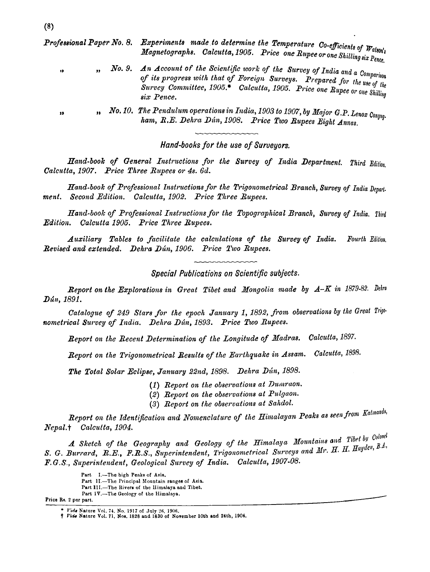**Professional Paper No. 8.** Experiments made to determine the Temperature Co-efficients of  $W_{\text{also}}$ Magnetographs. Calcutta, 1905. Price one Rupee or one Shilling six Pence.

No. 9. An Account of the Scientific work of the Survey of India and a Comparison of its progress with that of Foreign Surveys. Prepared for the use of the Survey Committee, 1905.\* Calcutta, 1905. Price one Rupee or one Shilling six Pence.

No. 10. The Pendulum operations in India, 1903 to 1907, by Major G.P. Lenox Conyng. ham, R.E. Dehra Dún, 1908. Price Two Rupees Eight Annas.

Hand-books for the use of Surveyors.

Hand-book of General Instructions for the Survey of India Department. Third Edition. Calcutta, 1907. Price Three Rupees or 4s. 6d.

Hand-book of Professional Instructions for the Trigonometrical Branch, Survey of India Depart. ment. Second Edition. Calcutta, 1902. Price Three Rupees.

Hand-book of Professional Instructions for the Topographical Branch, Survey of India. Third Edition. Calcutta 1905. Price Three Rupees.

Auxiliary Tables to facilitate the calculations of the Survey of India. Fourth Edition. Revised and extended. Dehra Dún, 1906. Price Two Rupees.

Special Publications on Scientific subjects.

**Report on the Explorations in Great Tibet and Mongolia made by**  $A - K$  **in 1879-82. Dehra** Dún, 1891.

Catalogue of 249 Stars for the epoch January 1, 1892, from observations by the Great Trigonometrical Survey of India. Dehra Dún, 1893. Price Two Rupees.

Report on the Recent Determination of the Longitude of Madras. Calcutta, 1897.

Report on the Trigonometrical Results of the Earthquake in Assam. Calcutta, 1898.

The Total Solar Eclipse, January 22nd, 1898. Dehra Dún, 1898.

(1) Report on the observations at Dumraon.

(2) Report on the observations at Pulgaon.

(3) Report on the observations at Sahdol.

Report on the Identification and Nomenclature of the Himalayan Peaks as seen from Kalmanda, Nepal.+ Calcutta, 1904.

A Sketch of the Geography and Geology of the Himalaya Mountains and Tibet by Colonel S. G. Burrard, R.E., F.R.S., Superintendent, Trigonometrical Surveys and Mr. H. H. Hayden, B.A. F.G.S., Superintendent, Geological Survey of India. Calcutta, 1907-08.

Price Rs. 2 per part.

١þ

J)

Part I.-The high Penks of Asia.

Part II.-The Principal Mountain ranges of Asia.

Part III.-The Rivers of the Himalaya and Tibet.

Part IV.-The Geology of the Himalaya.

<sup>\*</sup> Vide Nature Vol. 74, No. 1917 of July 26, 1906.

*<sup>†</sup> Vide* Nature Vol. 71, Nos. 1828 and 1830 of November 10th and 24th, 1904.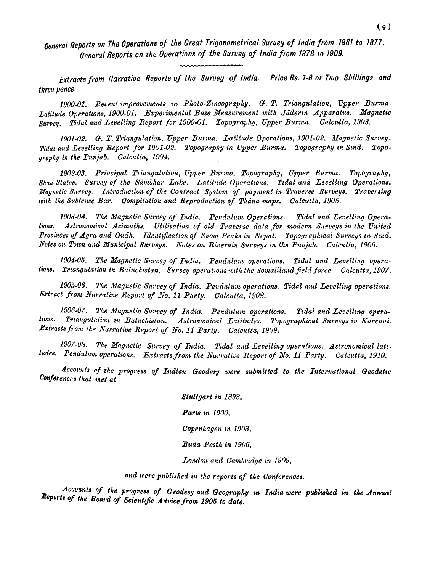**Genera/ Reports on The Operations of the Great Trigonometrical Suruey of lndia from 1881 to 1877. General Reports on the Operations of the Suruey of lndia from 1878 to 1009.** 

**Extracts from Narratiue Reports of the Suruey of lndia. Price Rs. 7-8 or Two Shillings and three pence.** 

*1900-01. Recent improveelents in Photo-Zincography.* **G.** *T. Triangulation, Vpper Burma. Latitude Operations, 1900-01. Experimental Base Measurenzent with Jaderin Apparatus. Magnetic Survey. Tidal and Levelling Report for 1900-01. Topography, Upper Burma. Calcutta, 1903.* 

*1901-02.* **G.** *T. Tt.iangulation, Upper But-ma. Latitude Operations, 1901-02. Magnetic Survey.*  Tidal and Levelling Report for 1901-02. Topography in Upper Burma. Topography in Sind. Topo*graphy in the Punjab. Calcutta, 1904.* 

*1902-03. Principal Triangulation, Upper Bzwma. Topography, Upper Burma. Topography,*  Shan States. Survey of the Sámbhar Lake. Latitude Operations. Tidal and Levelling Operations. *Magnetic Survey. Introduction of the Contract System of payment in Traverse Surveys. Traversing* with the Subtense Bar. Compilation and Reproduction of Thána maps. Calcutta, 1905.

1903-04. The Magnetic Survey of India. Pendulum Operations. Tidal and Levelling Opera*tions. Astronontical Azimuths. Utilisalion of old Traverse data for modern Surveys in the United*  Provinces of Agra and Oudh. Identification of Snow Peaks in Nepal. Topographical Surveys in Sind. *Notes on Town and Municipal Surveys. Notes on Riverain Surveys in the Punjab. Calcutta, 1906.* 

1904-05. The Magnetic Survey of India. Pendulum operations. Tidal and Levelling operations. Triangulation in Baluchistan. Survey operations with the Somaliland field force. Calcutta, 1907.

1905-06. The Magnetic Survey of India. Pendulum operations. Tidal and Levelling operations. *Extract from Narrative Report of No. 11 Party. Calcutta, 1908.* 

*1906-07. The Magnetic Survey of India. Pendulum operations. Tidal and Levelling opera*tions. Triangulation in Baluchistan. Astronomical Latitudes. Topographical Surveys in Karenni. *Extracts from the Narrative Report of No. 11 Party. Calcutta, 1909.* 

1907-08. The Magnetic Survey of India. Tidal and Levelling operations. Astronomical lati*fudes. Pendulum operations. Extracts from the Narrative Report of No. 11 Party. Calcutta, 1910.* 

Accounts of the progress of Indian Geodesy were submitted to the International Geodetic *Conferences that met at* 

> *Stuttgart in 1898,*  Paris in 1900. *Copenhagen in 1903, Buda Pesth in 1906.*  London and Cambridge in 1909,

and *were published in the reports of the Conferences.* 

*Accounts of the progrese* **of** *Geodesy and Geography* **in** *India were published* **in** *the Annual*   $R$ eports of the Board of Scientific Advice from 1905 to date.